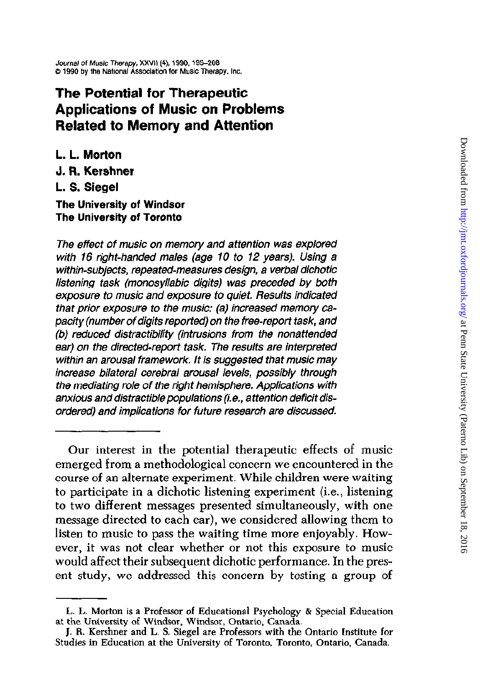# The Potential for Therapeutic Applications of Music on Problems Related to Memory and Attention

L. L. Morton J. R. Kershner L. S. Siegel The University of Windsor

# The University of Toronto

The effect of music on memory and attention was explored with 16 right-handed males (age 10 to 12 years). Using a within-subjects, repeated-measures design, a verbal dichotic listening task (monosyllabic digits) was preceded by both exposure to music and exposure to quiet. Results indicated that prior exposure to the music: (a) increased memory capacify (number of digits reported) on the free-report task, and (b) reduced distractibility (intrusions from the nonattended ear) on the directed-report task. The results are interpreted within an arousal framework, lt is suggested that music may increase bilateral cerebral arousal levels, possibly through the mediating role of the right hemisphere. Applications with anxious and distractible populations (i.e., attention deficit disordered) and implications for future research are discussed.

Our interest in the potential therapeutic effects of music emerged from a methodological concern we encountered in the course of an alternate experiment. While children were waiting to participate in a dichotic listening experiment (i.e., listening to two different messages presented simultaneously, with one message directed to each ear), we considered allowing them to listen to music to pass the waiting time more enjoyably. However, it was not clear whether or not this exposure to music would affect their subsequent dichotic performance. In the present study, we addressed this concern by testing a group of

L. L. Morton is a Professor of Educational Psychology & Special Education at the University of Windsor, Windsor, Ontario, Canada.

J, R. Kershner and L. S. Siegel are Professors with the Ontario Institute for Studies in Education at the University of Toronto. Toronto, Ontario, Canada.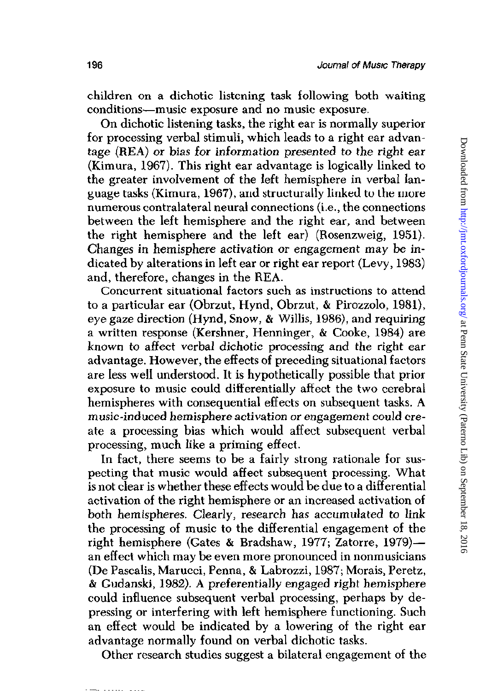children on a dichotic listening task following both waiting conditions-music exposure and no music exposure.

On dichotic listening tasks, the right ear is normally superior for processing verbal stimuli, which leads to a right ear advantage (REA) or bias for information presented to the right ear (Kimura, 1967). This right ear advantage is logically linked to the greater involvement of the left hemisphere in verbal language tasks (Kimura, 1967), and structurally linked to the more numerous contralateral neural connections (i.e., the connections between the left hemisphere and the right ear, and between the right hemisphere and the left ear) (Rosenzweig, 1951). Changes in hemisphere activation or engagement may be indicated by alterations in left ear or right ear report (Levy, 1983) and, therefore, changes in the REA.

Concurrent situational factors such as instructions to attend to a particular ear (Obrzut, Hynd, Obrzut, & Pirozzolo, 1981), eye gaze direction (Hynd, Snow, & Willis, 1986), and requiring a written response (Kershner, Henninger, & Cooke, 1984) are known to affect verbal dichotic processing and the right ear advantage. However, the effects of preceding situational factors are less well understood. It is hypothetically possible that prior exposure to music could differentially affect the two cerebral hemispheres with consequential effects on subsequent tasks. A music-induced hemisphere activation or engagement could create a processing bias which would affect subsequent verbal processing, much like a priming effect.

In fact, there seems to be a fairly strong rationale for suspecting that music would affect subsequent processing. What is not clear is whether these effects would be due to a differential activation of the right hemisphere or an increased activation of both hemispheres. Clearly, research has accumulated to link the processing of music to the differential engagement of the right hemisphere (Gates & Bradshaw, 1977; Zatorre, 1979) an effect which may be even more pronounced in nonmusicians (De Pascalis, Marucci, Penna, & Labrozzi, 1987; Morais, Peretz, & Gudanski, 1982). A preferentially engaged right hemisphere could influence subsequent verbal processing, perhaps by depressing or interfering with left hemisphere functioning. Such an effect would be indicated by a lowering of the right ear advantage normally found on verbal dichotic tasks.

Other research studies suggest a bilateral engagement of the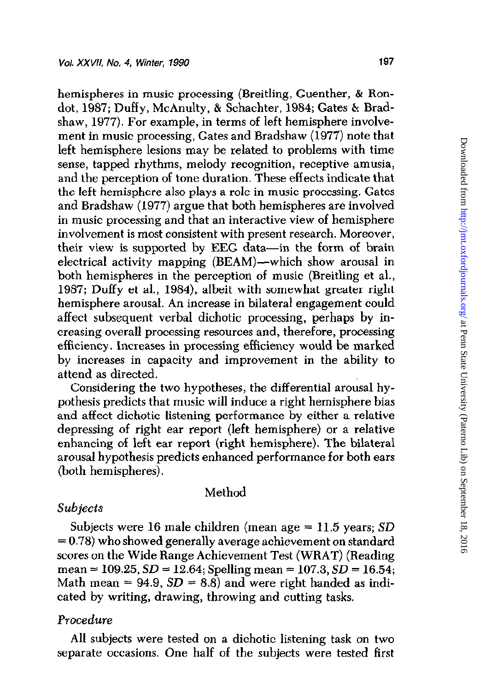hemispheres in music processing (Breitling, Guenther, & Rondot, 1987; Duffy, McAnulty, & Schachter, 1984; Gates & Bradshaw, 1977). For example, in terms of left hemisphere involvement in music processing, Gates and Bradshaw (1977) note that left hemisphere lesions may be related to problems with time sense, tapped rhythms, melody recognition, receptive amusia, and the perception of tone duration. These effects indicate that the left hemisphere also plays a role in music processing. Gates and Bradshaw (1977) argue that both hemispheres are involved in music processing and that an interactive view of hemisphere involvement is most consistent with present research. Moreover, their view is supported by EEG data-in the form of brain electrical activity mapping (BEAM)—which show arousal in both hemispheres in the perception of music (Breitling et al., 1987; Duffy et al., 1984), albeit with somewhat greater right hemisphere arousal. An increase in bilateral engagement could affect subsequent verbal dichotic processing, perhaps by increasing overall processing resources and, therefore, processing efficiency. Increases in processing efficiency would be marked by increases in capacity and improvement in the ability to attend as directed.

Considering the two hypotheses, the differential arousal hypothesis predicts that music will induce a right hemisphere bias and affect dichotic listening performance by either a relative depressing of right ear report (left hemisphere) or a relative enhancing of left ear report (right hemisphere). The bilateral arousal hypothesis predicts enhanced performance for both ears (both hemispheres).

## Method

# Subjects

Subjects were 16 male children (mean age  $= 11.5$  years; SD  $= 0.78$ ) who showed generally average achievement on standard scores on the Wide Range Achievement Test (WRAT) (Reading  $mean = 109.25, SD = 12.64$ ; Spelling mean = 107.3,  $SD = 16.54$ ; Math mean = 94.9,  $SD = 8.8$ ) and were right handed as indicated by writing, drawing, throwing and cutting tasks,

# Procedure

All subjects were tested on a dichotic listening task on two separate occasions. One half of the subjects were tested first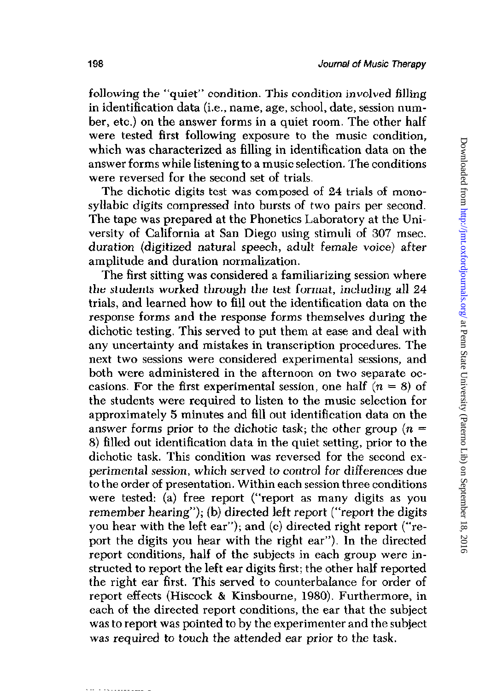Downloaded from http://jmt.oxfordjournals.org/ at Penn State University (Paterno Lib) on September 18, 2016 Downloaded from <http://jmt.oxfordjournals.org/> at Penn State University (Paterno Lib) on September 18, 2016

following the "quiet" condition. This condition involved filling in identification data (i.e., name, age, school, date, session number, etc.) on the answer forms in a quiet room. The other half were tested first following exposure to the music condition, which was characterized as filling in identification data on the answer forms while listening to a music selection. The conditions were reversed for the second set of trials.

The dichotic digits test was composed of 24 trials of monosyllabic digits compressed into bursts of two pairs per second. The tape was prepared at the Phonetics Laboratory at the University of California at San Diego using stimuli of 307 msec. duration (digitized natural speech, adult female voice) after amplitude and duration normalization.

The first sitting was considered a familiarizing session where the students worked through the test format, including all 24 trials, and learned how to fill out the identification data on the response forms and the response forms themselves during the dichotic testing. This served to put them at ease and deal with any uncertainty and mistakes in transcription procedures. The next two sessions were considered experimental sessions, and both were administered in the afternoon on two separate occasions. For the first experimental session, one half  $(n = 8)$  of the students were required to listen to the music selection for approximately 5 minutes and fill out identification data on the answer forms prior to the dichotic task; the other group  $(n =$ 8) filled out identification data in the quiet setting, prior to the dichotic task. This condition was reversed for the second experimental session, which served to control for differences due to the order of presentation. Within each session three conditions were tested: (a) free report ("report as many digits as you remember hearing"); (b) directed left report ("report the digits you hear with the left ear"); and (c) directed right report ("report the digits you hear with the right ear"). In the directed report conditions, half of the subjects in each group were instructed to report the left ear digits first; the other half reported the right ear first. This served to counterbalance for order of report effects (Hiscock & Kinsbourne, 1980). Furthermore, in each of the directed report conditions, the ear that the subject was to report was pointed to by the experimenter and the subject was required to touch the attended ear prior to the task.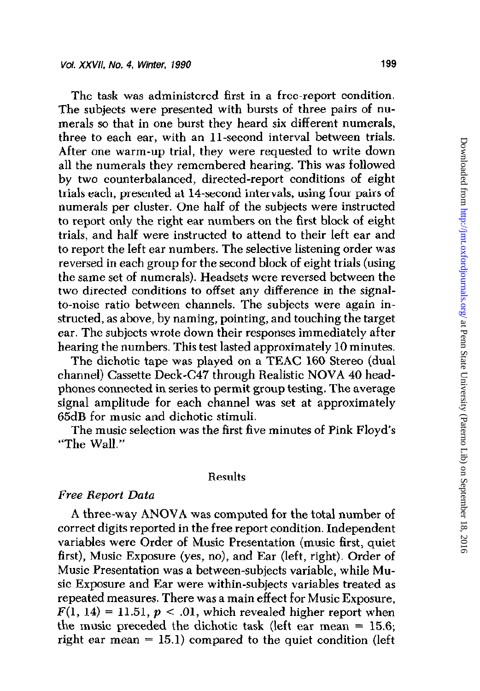The task was administered first in a free-report condition. The subjects were presented with bursts of three pairs of numerals so that in one burst they heard six different numerals, three to each ear, with an 11-second interval between trials. After one warm-up trial, they were requested to write down all the numerals they remembered hearing. This was followed by two counterbalanced, directed-report conditions of eight trials each, presented at 14-second intervals, using four pairs of numerals per cluster. One half of the subjects were instructed to report only the right ear numbers on the first block of eight trials, and half were instructed to attend to their left ear and to report the left ear numbers. The selective listening order was reversed in each group for the second block of eight trials (using the same set of numerals). Headsets were reversed between the two directed conditions to offset any difference in the signalto-noise ratio between channels. The subjects were again instructed, as above, by naming, pointing, and touching the target ear. The subjects wrote down their responses immediately after hearing the numbers. This test lasted approximately 10 minutes.

The dichotic tape was played on a TEAC 160 Stereo (dual channel) Cassette Deck-C47 through Realistic NOVA 40 headphones connected in series to permit group testing. The average signal amplitude for each channel was set at approximately 65dB for music and dichotic stimuli.

The music selection was the first five minutes of Pink Floyd's "The Wall."

### Results

## Free Report Data

A three-way ANOVA was computed for the total number of correct digits reported in the free report condition. Independent variables were Order of Music Presentation (music first, quiet first), Music Exposure (yes, no), and Ear (left, right). Order of Music Presentation was a between-subjects variable, while Music Exposure and Ear were within-subjects variables treated as repeated measures. There was a main effect for Music Exposure,  $F(1, 14) = 11.51, p < .01$ , which revealed higher report when the music preceded the dichotic task (left ear mean = 15.6; right ear mean  $= 15.1$ ) compared to the quiet condition (left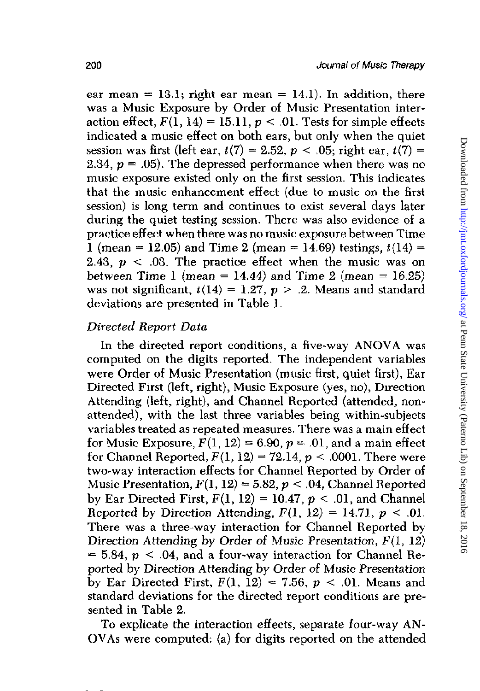ear mean = 13.1; right ear mean = 14.1). In addition, there was a Music Exposure by Order of Music Presentation interaction effect,  $F(1, 14) = 15.11$ ,  $p < .01$ . Tests for simple effects indicated a music effect on both ears, but only when the quiet session was first (left ear,  $t(7) = 2.52$ ,  $p < .05$ ; right ear,  $t(7) =$ 2.34,  $p = .05$ ). The depressed performance when there was no music exposure existed only on the first session. This indicates that the music enhancement effect (due to music on the first session) is long term and continues to exist several days later during the quiet testing session. There was also evidence of a practice effect when there was no music exposure between Time 1 (mean = 12.05) and Time 2 (mean = 14.69) testings,  $t(14)$  = 2.43,  $p < 0.03$ . The practice effect when the music was on between Time 1 (mean = 14.44) and Time 2 (mean =  $16.25$ ) was not significant,  $t(14) = 1.27$ ,  $p > .2$ . Means and standard deviations are presented in Table 1.

## Directed Report Data

In the directed report conditions, a five-way ANOVA was computed on the digits reported. The independent variables were Order of Music Presentation (music first, quiet first), Ear Directed First (left, right), Music Exposure (yes, no), Direction Attending (left, right), and Channel Reported (attended, nonattended), with the last three variables being within-subjects variables treated as repeated measures. There was a main effect for Music Exposure,  $F(1, 12) = 6.90$ ,  $p = .01$ , and a main effect for Channel Reported,  $F(1, 12) = 72.14$ ,  $p < .0001$ . There were two-way interaction effects for Channel Reported by Order of Music Presentation,  $F(1,12) = 5.82$ ,  $p < .04$ , Channel Reported by Ear Directed First,  $F(1, 12) = 10.47$ ,  $p < .01$ , and Channel Reported by Direction Attending,  $F(1, 12) = 14.71$ ,  $p < 0.01$ . There was a three-way interaction for Channel Reported by Direction Attending by Order of Music Presentation,  $F(1, 12)$  $= 5.84$ ,  $p < .04$ , and a four-way interaction for Channel Reported by Direction Attending by Order of Music Presentation by Ear Directed First,  $F(1, 12) = 7.56$ ,  $p < .01$ . Means and standard deviations for the directed report conditions are presented in Table 2.

To explicate the interaction effects, separate four-way AN-OVAs were computed: (a) for digits reported on the attended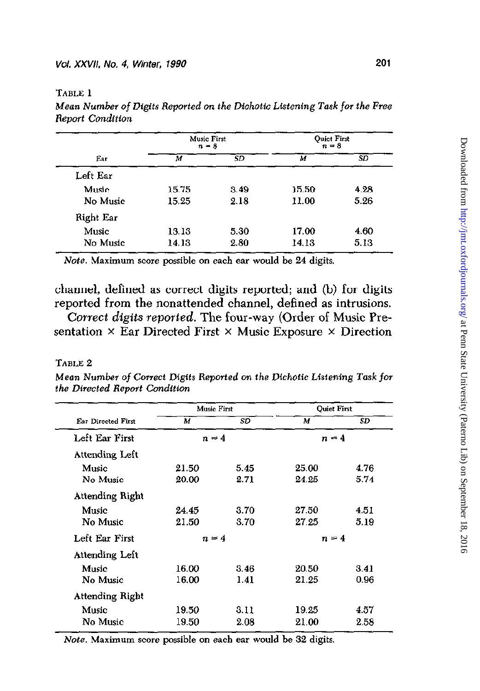TABLE 1

Mean Number of Digits Reported on the Dichotic Listening Task for the Free Report Condition

| Ear       | <b>Music First</b><br>$n = 3$ |      | <b>Ouiet First</b><br>$n = 8$ |      |
|-----------|-------------------------------|------|-------------------------------|------|
|           | м                             | SD   | м                             | SD   |
| Left Ear  |                               |      |                               |      |
| Music     | 15.75                         | 3.49 | 15.50                         | 4.28 |
| No Music  | 15.25                         | 2.18 | 11.00                         | 5.26 |
| Right Ear |                               |      |                               |      |
| Music     | 13.13                         | 5.30 | 17.00                         | 4.60 |
| No Music  | 14.13                         | 2.80 | 14.13                         | 5.13 |

Note. Maximum score possible on each ear would be 24 digits.

channel, defined as correct digits reported; and (b) for digits reported from the nonattended channel, defined as intrusions.

Correct digits reported. The four-way (Order of Music Presentation  $\times$  Ear Directed First  $\times$  Music Exposure  $\times$  Direction

### TABLE 2

Mean Number of Conect Digits Reported on the Dichotic Listening Task for the Directed Report Condition

| <b>Ear Directed First</b> | Music First |      | <b>Ouiet First</b> |      |
|---------------------------|-------------|------|--------------------|------|
|                           | M           | SD   | м                  | SD   |
| Left Ear First            | $n = 4$     |      | $n = 4$            |      |
| <b>Attending Left</b>     |             |      |                    |      |
| <b>Music</b>              | 21.50       | 5.45 | 25.00              | 4.76 |
| No Music                  | 20.00       | 2.71 | 24.25              | 5.74 |
| Attending Right           |             |      |                    |      |
| Music                     | 24.45       | 3.70 | 27.50              | 4.51 |
| No Music                  | 21.50       | 3.70 | 27.25              | 5.19 |
| Left Ear First            | $n = 4$     |      | $n = 4$            |      |
| Attending Left            |             |      |                    |      |
| Music                     | 16.00       | 3.46 | 20.50              | 3.41 |
| No Music                  | 16.00       | 1.41 | 21.25              | 0.96 |
| Attending Right           |             |      |                    |      |
| Music                     | 19.50       | 3.11 | 19.25              | 4.57 |
| No Music                  | 19.50       | 2.08 | 21.00              | 2 58 |

Note. Maximum score possible on each ear would be 32 digits.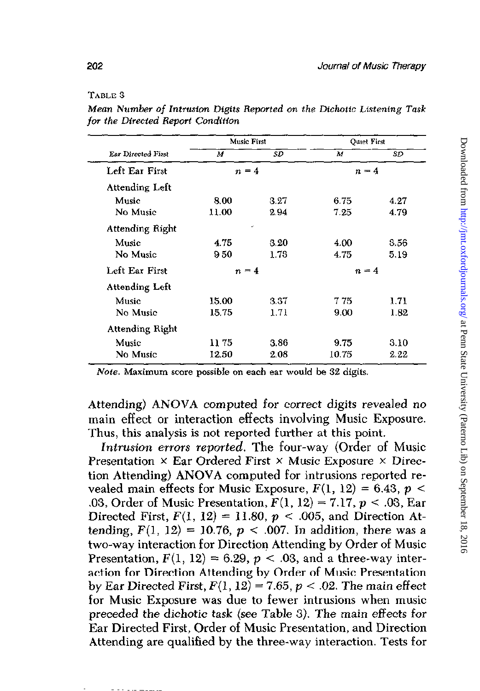#### Table 3

|                       | Music First |         | <b>Outet First</b> |      |
|-----------------------|-------------|---------|--------------------|------|
| Ear Directed First    | М           | SD      | М                  | SD   |
| Left Ear First        | $n = 4$     |         | $n=4$              |      |
| Attending Left        |             |         |                    |      |
| Music                 | 8.00        | 3.27    | 6.75               | 4.27 |
| No Music              | 11.00       | 2.94    | 7.25               | 4.79 |
| Attending Right       |             | ے       |                    |      |
| Music                 | 4.75        | 3.20    | 4.00               | 3.56 |
| No Music              | 950         | 1.73    | 4.75               | 5.19 |
| Left Ear First        | $n = 4$     |         | $n = 4$            |      |
| <b>Attending Left</b> |             |         |                    |      |
| Music                 | 15.00       | $3\,37$ | 7 75               | 1.71 |
| No Music              | 15.75       | 1.71    | 9.00               | 1.82 |
| Attending Right       |             |         |                    |      |
| Music                 | 11 75       | 3.86    | 9.75               | 3.10 |
| No Music              | 12.50       | 2.08    | 10.75              | 2.22 |

Mean Number of Intrusion Digits Reported on the Dichotic Listening Task for the Directed Report Condition

Note. Maximum score possible on each ear would be 32 digits.

Attending) ANOVA computed for correct digits revealed no main effect or interaction effects involving Music Exposure. Thus, this analysis is not reported further at this point.

Intrusion errors reported. The four-way (Order of Music Presentation  $\times$  Ear Ordered First  $\times$  Music Exposure  $\times$  Direction Attending) ANOVA computed for intrusions reported revealed main effects for Music Exposure,  $F(1, 12) = 6.43$ ,  $p <$ .03, Order of Music Presentation,  $F(1, 12) = 7.17$ ,  $p < .03$ , Ear Directed First,  $F(1, 12) = 11.80$ ,  $p < .005$ , and Direction Attending,  $F(1, 12) = 10.76$ ,  $p < .007$ . In addition, there was a two-way interaction for Direction Attending by Order of Music Presentation,  $F(1, 12) = 6.29$ ,  $p < .03$ , and a three-way interaction for Direction Attending by Order of Music Presentation by Ear Directed First,  $F(1, 12) = 7.65$ ,  $p < .02$ . The main effect for Music Exposure was due to fewer intrusions when music preceded the dichotic task (see Table 3). The main effects for Ear Directed First, Order of Music Presentation, and Direction Attending are qualified by the three-way interaction. Tests for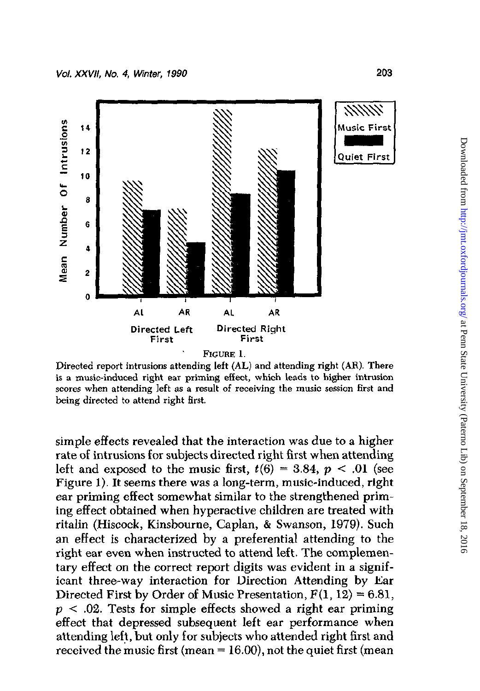

Directed report intrusions attending left (AL) and attending right (AR). There is a music-induced right ear priming effect, which leads to higher intrusion scores when attending left as a result of receiving the music session first and being directed to attend right first.

simple effects revealed that the interaction was due to a higher rate of intrusions for subjects directed right first when attending left and exposed to the music first,  $t(6) = 3.84$ ,  $p < .01$  (see Figure 1). It seems there was a long-term, music-induced, right ear priming effect somewhat similar to the strengthened priming effect obtained when hyperactive children are treated with ritalin (Hiscock, Kinsbourne, Caplan, & Swanson, 1979). Such an effect is characterized by a preferential attending to the right ear even when instructed to attend left. The complementary effect on the correct report digits was evident in a significant three-way interaction for Direction Attending by Ear Directed First by Order of Music Presentation,  $F(1, 12) = 6.81$ ,  $p < .02$ . Tests for simple effects showed a right ear priming effect that depressed subsequent left ear performance when attending left, but only for subjects who attended right first and received the music first (mean  $= 16.00$ ), not the quiet first (mean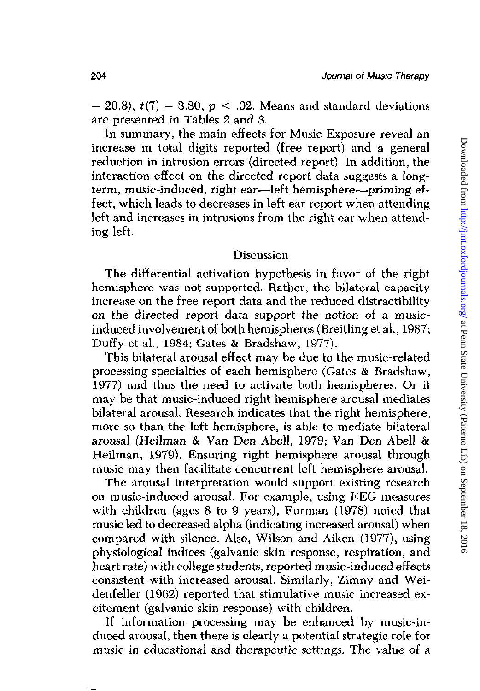$= 20.8$ ,  $t(7) = 3.30$ ,  $p < .02$ . Means and standard deviations are presented in Tables 2 and 3.

In summary, the main effects for Music Exposure reveal an increase in total digits reported (free report) and a general reduction in intrusion errors (directed report). In addition, the interaction effect on the directed report data suggests a longterm, music-induced, right ear—left hemisphere—priming effect, which leads to decreases in left ear report when attending left and increases in intrusions from the right ear when attending left.

### Discussion

The differential activation hypothesis in favor of the right hemisphere was not supported. Rather, the bilateral capacity increase on the free report data and the reduced distractibility on the directed report data support the notion of a musicinduced involvement of both hemispheres (Breitling et al., 1987; Duffy et al., 1984; Gates & Bradshaw, 1977).

This bilateral arousal effect may be due to the music-related processing specialties of each hemisphere (Gates & Bradshaw, 1977) and thus the need to activate both hemispheres. Or it may be that music-induced right hemisphere arousal mediates bilateral arousal. Research indicates that the right hemisphere, more so than the left hemisphere, is able to mediate bilateral arousal (Heilman & Van Den Abell, 1979; Van Den Abel1 & Heilman, 1979). Ensuring right hemisphere arousal through music may then facilitate concurrent left hemisphere arousal.

The arousal interpretation would support existing research on music-induced arousal. For example, using EEG measures with children (ages 8 to 9 years), Furman (1978) noted that music led to decreased alpha (indicating increased arousal) when compared with silence. Also, Wilson and Aiken (1977), using physiological indices (galvanic skin response, respiration, and heart rate) with college students, reported music-induced effects consistent with increased arousal. Similarly, Zimny and Weidenfeller (1962) reported that stimulative music increased excitement (galvanic skin response) with children.

If information processing may be enhanced by music-induced arousal, then there is clearly a potential strategic role for music in educational and therapeutic settings. The value of a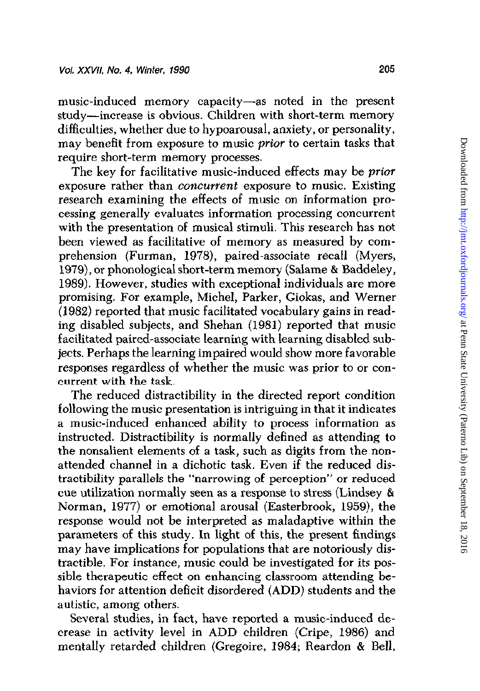music-induced memory capacity-as noted in the present study-increase is obvious. Children with short-term memory difficulties, whether due to hypoarousal, anxiety, or personality, may benefit from exposure to music prior to certain tasks that require short-term memory processes.

The key for facilitative music-induced effects may be *prior* exposure rather than concurrent exposure to music. Existing research examining the effects of music on information processing generally evaluates information processing concurrent with the presentation of musical stimuli. This research has not been viewed as facilitative of memory as measured by comprehension (Furman, 1978), paired-associate recall (Myers, 1979), or phonological short-term memory (Salame & Baddeley, 1989). However, studies with exceptional individuals are more promising. For example, Michel, Parker, Giokas, and Werner (1982) reported that music facilitated vocabulary gains in reading disabled subjects, and Shehan (1981) reported that music facilitated paired-associate learning with learning disabled subjects. Perhaps the learning impaired would show more favorahle responses regardless of whether the music was prior to or concurrent with the task.

The reduced distractibility in the directed report condition following the music presentation is intriguing in that it indicates a music-induced enhanced ability to process information as instructed. Distractibility is normally defined as attending to the nonsalient elements of a task, such as digits from the nonattended channel in a dichotic task. Even if the reduced distractibility parallels the "narrowing of perception" or reduced cue utilization normally seen as a response to stress (Lindsey & Norman, 1977) or emotional arousal (Easterbrook, 1959), the response would not be interpreted as maladaptive within the parameters of this study. In light of this, the present findings may have implications for populations that are notoriously distractible For instance, music could be investigated for its possible therapeutic effect on enhancing classroom attending hehaviors for attention deficit disordered (ADD) students and the autistic, among others.

Several studies, in fact, have reported a music-induced decrease in activity level in ADD children (Cripe, 1986) and mentally retarded children (Gregoire, 1984; Reardon & Bell,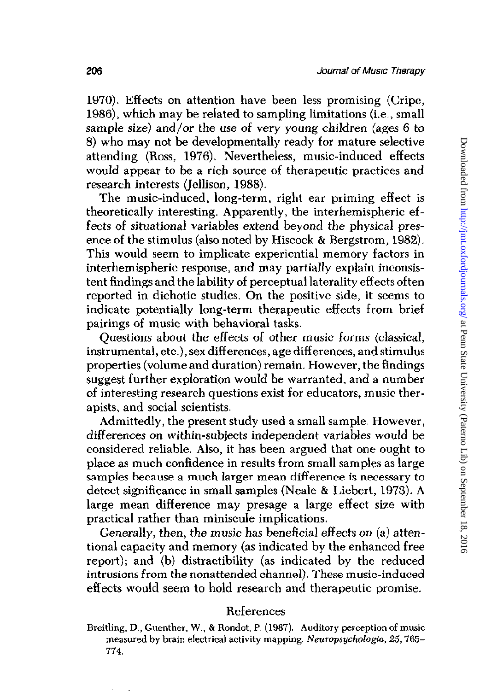1970). Effects on attention have been less promising (Cripe, 1986), which may be related to sampling limitations (i.e., small sample size) and/or the use of very young children (ages 6 to 8) who may not be developmentally ready for mature selective attending (Ross, 1976). Nevertheless, music-induced effects would appear to be a rich source of therapeutic practices and research interests (Jellison, 1988).

The music-induced, long-term, right ear priming effect is theoretically interesting. Apparently, the interhemispheric effects of situational variables extend beyond the physical presence of the stimulus (also noted by Hiscock & Bergstrom, 1982). This would seem to implicate experiential memory factors in interhemispheric response, and may partially explain inconsistent findings and the lability of perceptual laterality effects often reported in dichotic studies. On the positive side, it seems to indicate potentially long-term therapeutic effects from brief pairings of music with behavioral tasks.

Questions about the effects of other music forms (classical, instrumental, etc.), sex differences, age differences, and stimulus properties (volume and duration) remain. However, the findings suggest further exploration would be warranted, and a number of interesting research questions exist for educators, music therapists, and social scientists.

Admittedly, the present study used a small sample. However, differences on within-subjects independent variables would be considered reliable. Also, it has been argued that one ought to place as much confidence in results from small samples as large samples because a much larger mean difference is necessary to detect significance in small samples (Neale & Liebert, 1973). A large mean difference may presage a large effect size with practical rather than miniscule implications.

Generally, then, the music has beneficial effects on (a) attentional capacity and memory (as indicated by the enhanced free report); and (b) distractibility (as indicated by the reduced intrusions from the nonattended channel). These music-induced effects would seem to hold research and therapeutic promise.

# References

Breitling, D., Guenther, W., & Rondot, P. (1987). Auditory perception of music measured by brain electrical activity mapping. Neuropsychologia, 25,765 774.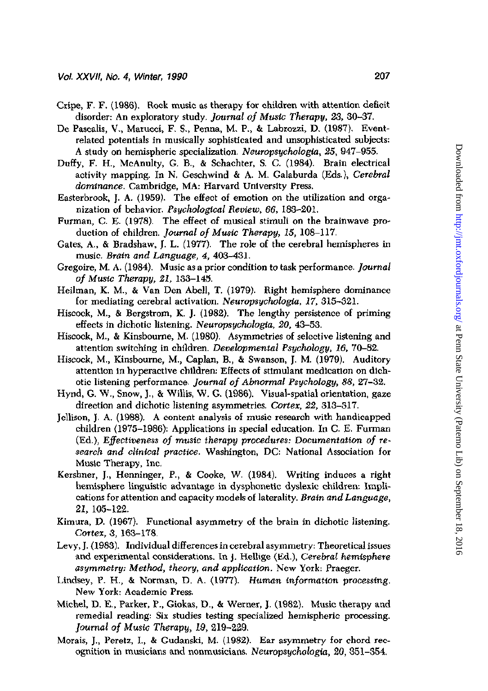- Gripe, F. F. (1986). Rock music as therapy for children with attention deficit disorder: An exploratory study. Journal of Music Therapy, 23, 30-37.
- De Pascalis, V., Marucci, F. S., Penna, M. P., & Labrozzi, D. (1987). Eventrelated potentials in musically sophisticated and unsophisticated subjects: A study on hemispheric specialization. Neuropsychologia, 25, 947-955.
- Duffy, F. II., McAnulty, G. B., & Schachter, S. C. (1984). Brain electrical activity mapping. In N. Geschwind & A. M. Galaburda (Eds.), Cerebral dominance. Cambridge, MA: Harvard University Press.
- Easterbrook. J. A. (1959). The effect of emotion on the utilization and organization of behavior. Psychological Review, 66, 183-201.
- Furman, C. E. (1978). The effect of musical stimuli on the brainwave production of children. Journal of Music Therapy, 15, 108-117.
- Gates, A., & Bradshaw, J. L. (1977). The role of the cerebral hemispheres in music. Brain and Language, 4, 403-431.
- Gregoire, M. A. (1984). Music as a prior condition to task performance. Journal of Music Therapy, 21, 133-145.
- Heilman, K. M., & Van Den Abell, T. (1979). Right hemisphere dominance for mediating cerebral activation. Neuropsychologia, 17, 315-321.
- Hiscock, M., & Bergstrom, K. J. (1982). The lengthy persistence of priming effects in dichotic listening. Neuropsychologia 20, 43-53.
- Hiscock, M., & Kinsbourne, M. (1980). Asymmetries of selective listening and attention switching in children. Developmental Psychology, 16, 70-82.
- Hiscock, M., Kinsbourne, M., Caplan, B., & Swanson, J. M. (1979). Auditory attention in hyperactive children: Effects of stimulant medication on dichotic listening performance. Journal of Abnormal Psychology, 88, 27-32.
- Hynd, G. W., Snow, J., & Willis, W. G. (1986). Visual-spatial orientation, gaze direction and dichotic listening asymmetries. Cortex, 22, 313-317.
- Jellison, 1. A. (1988). A content analysis of music research with handicapped children (1975-1986): Applications in special education. In C. E. Furman (Ed.), Effetiveness of music therapy procedures: Documentation of research and cllinical practice. Washington, DC: National Association for Music Therapy, Inc.
- Kershner, J., Henninger, P., & Cooke, W. (1984). Writing induces a right hemisphere linguistic advantage in dysphonetic dyslexic children: Implications for attention and capacity models of laterality. Brain and Language, 21, 105-122.
- Kimura, D. (1967). Functional asymmetry of the brain in dicbotic listening. Cortex, 3, 163-178.
- Levy, J. (1983). Individual differences in cerebral asymmetry: Theoretical issues and experimental considerations. In J. Hellige (Ed.), Cerebral hemisphere asymmetry: Method, theory, and oppllcation. New York: Praeger.
- Lindsey, P. H., & Norman, D. A. (1977). Human information processing. New York: Academic Press.
- Michel, D. E., Parker, P., Giokas, D., & Werner, J. (1982). Music therapy and remedial reading: Six studies testing specialized hemispheric processing. Journal of Music Therapy, 19, 219-229.
- Morais, J., Perez, I.,& Gudanski. M. (1982). Ear asymmetry for chord recognition in musicians and nonmusicians. Neuropsychologia,  $20,351-354$ .